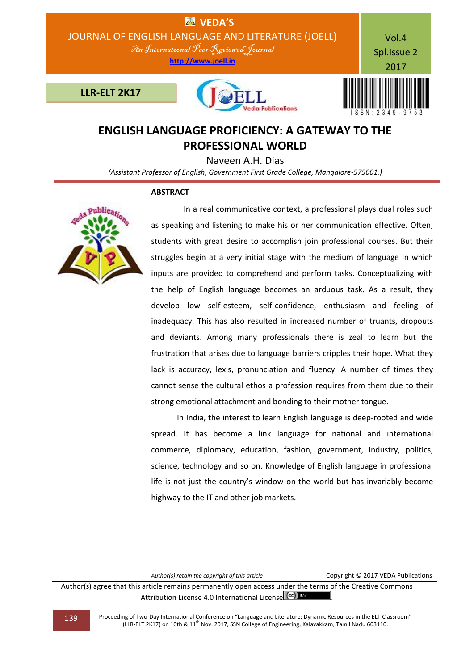

## **ENGLISH LANGUAGE PROFICIENCY: A GATEWAY TO THE PROFESSIONAL WORLD**

Naveen A.H. Dias

*(Assistant Professor of English, Government First Grade College, Mangalore-575001.)*

## **ABSTRACT**



 In a real communicative context, a professional plays dual roles such as speaking and listening to make his or her communication effective. Often, students with great desire to accomplish join professional courses. But their struggles begin at a very initial stage with the medium of language in which inputs are provided to comprehend and perform tasks. Conceptualizing with the help of English language becomes an arduous task. As a result, they develop low self-esteem, self-confidence, enthusiasm and feeling of inadequacy. This has also resulted in increased number of truants, dropouts and deviants. Among many professionals there is zeal to learn but the frustration that arises due to language barriers cripples their hope. What they lack is accuracy, lexis, pronunciation and fluency. A number of times they cannot sense the cultural ethos a profession requires from them due to their strong emotional attachment and bonding to their mother tongue.

 In India, the interest to learn English language is deep-rooted and wide spread. It has become a link language for national and international commerce, diplomacy, education, fashion, government, industry, politics, science, technology and so on. Knowledge of English language in professional life is not just the country's window on the world but has invariably become highway to the IT and other job markets.

*Author(s) retain the copyright of this article* Copyright © 2017 VEDA Publications

Author(s) agree that this article remains permanently open access under the terms of the Creative Commons Attribution License 4.0 International License  $\left($  cc) EY

139 Proceeding of Two-Day International Conference on "Language and Literature: Dynamic Resources in the ELT Classroom" (LLR-ELT 2K17) on 10th & 11th Nov. 2017, SSN College of Engineering, Kalavakkam, Tamil Nadu 603110.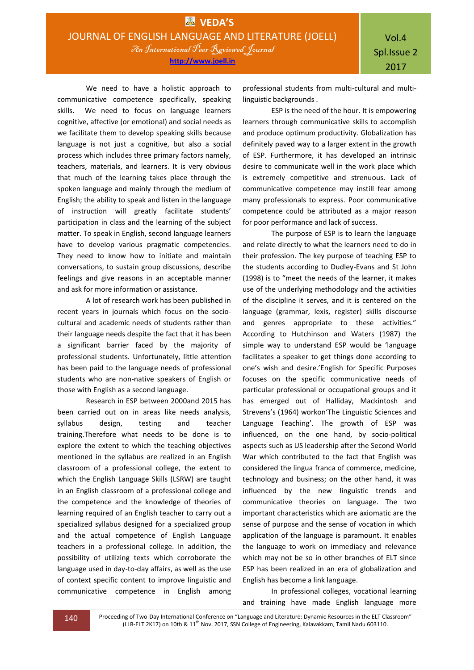We need to have a holistic approach to communicative competence specifically, speaking skills. We need to focus on language learners cognitive, affective (or emotional) and social needs as we facilitate them to develop speaking skills because language is not just a cognitive, but also a social process which includes three primary factors namely, teachers, materials, and learners. It is very obvious that much of the learning takes place through the spoken language and mainly through the medium of English; the ability to speak and listen in the language of instruction will greatly facilitate students' participation in class and the learning of the subject matter. To speak in English, second language learners have to develop various pragmatic competencies. They need to know how to initiate and maintain conversations, to sustain group discussions, describe feelings and give reasons in an acceptable manner and ask for more information or assistance.

A lot of research work has been published in recent years in journals which focus on the sociocultural and academic needs of students rather than their language needs despite the fact that it has been a significant barrier faced by the majority of professional students. Unfortunately, little attention has been paid to the language needs of professional students who are non-native speakers of English or those with English as a second language.

Research in ESP between 2000and 2015 has been carried out on in areas like needs analysis, syllabus design, testing and teacher training.Therefore what needs to be done is to explore the extent to which the teaching objectives mentioned in the syllabus are realized in an English classroom of a professional college, the extent to which the English Language Skills (LSRW) are taught in an English classroom of a professional college and the competence and the knowledge of theories of learning required of an English teacher to carry out a specialized syllabus designed for a specialized group and the actual competence of English Language teachers in a professional college. In addition, the possibility of utilizing texts which corroborate the language used in day-to-day affairs, as well as the use of context specific content to improve linguistic and communicative competence in English among

professional students from multi-cultural and multilinguistic backgrounds .

ESP is the need of the hour. It is empowering learners through communicative skills to accomplish and produce optimum productivity. Globalization has definitely paved way to a larger extent in the growth of ESP. Furthermore, it has developed an intrinsic desire to communicate well in the work place which is extremely competitive and strenuous. Lack of communicative competence may instill fear among many professionals to express. Poor communicative competence could be attributed as a major reason for poor performance and lack of success.

The purpose of ESP is to learn the language and relate directly to what the learners need to do in their profession. The key purpose of teaching ESP to the students according to Dudley-Evans and St John (1998) is to "meet the needs of the learner, it makes use of the underlying methodology and the activities of the discipline it serves, and it is centered on the language (grammar, lexis, register) skills discourse and genres appropriate to these activities." According to Hutchinson and Waters (1987) the simple way to understand ESP would be 'language facilitates a speaker to get things done according to one's wish and desire.'English for Specific Purposes focuses on the specific communicative needs of particular professional or occupational groups and it has emerged out of Halliday, Mackintosh and Strevens's (1964) workon'The Linguistic Sciences and Language Teaching'. The growth of ESP was influenced, on the one hand, by socio-political aspects such as US leadership after the Second World War which contributed to the fact that English was considered the lingua franca of commerce, medicine, technology and business; on the other hand, it was influenced by the new linguistic trends and communicative theories on language. The two important characteristics which are axiomatic are the sense of purpose and the sense of vocation in which application of the language is paramount. It enables the language to work on immediacy and relevance which may not be so in other branches of ELT since ESP has been realized in an era of globalization and English has become a link language.

In professional colleges, vocational learning and training have made English language more

140 Proceeding of Two-Day International Conference on "Language and Literature: Dynamic Resources in the ELT Classroom" (LLR-ELT 2K17) on 10th & 11<sup>th</sup> Nov. 2017, SSN College of Engineering, Kalavakkam, Tamil Nadu 603110.